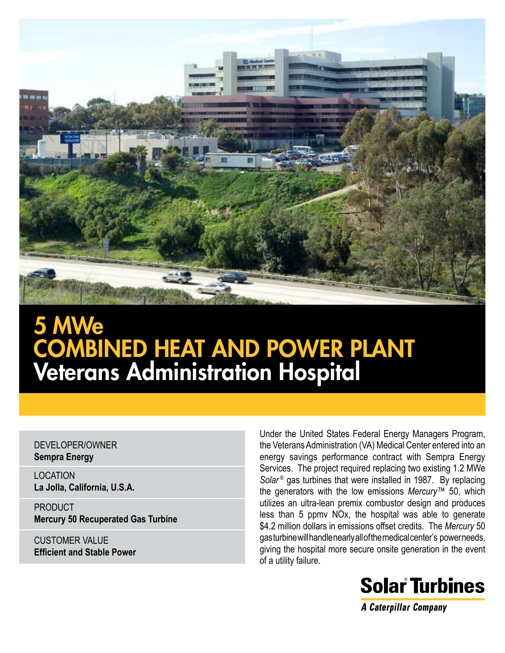

# 5 MWe COMBINED HEAT AND POWER PLANT Veterans Administration Hospital

#### DEVELOPER/OWNER **Sempra Energy**

LOCATION **La Jolla, California, U.S.A.**

**PRODUCT Mercury 50 Recuperated Gas Turbine** 

CUSTOMER VALUE **Efficient and Stable Power** Under the United States Federal Energy Managers Program, the Veterans Administration (VA) Medical Center entered into an energy savings performance contract with Sempra Energy Services. The project required replacing two existing 1.2 MWe *Solar* ® gas turbines that were installed in 1987. By replacing the generators with the low emissions *Mercury*™ 50, which utilizes an ultra-lean premix combustor design and produces less than 5 ppmv NOx, the hospital was able to generate \$4.2 million dollars in emissions offset credits. The *Mercury* 50 gas turbine will handle nearly all of the medical center's power needs, giving the hospital more secure onsite generation in the event of a utility failure.